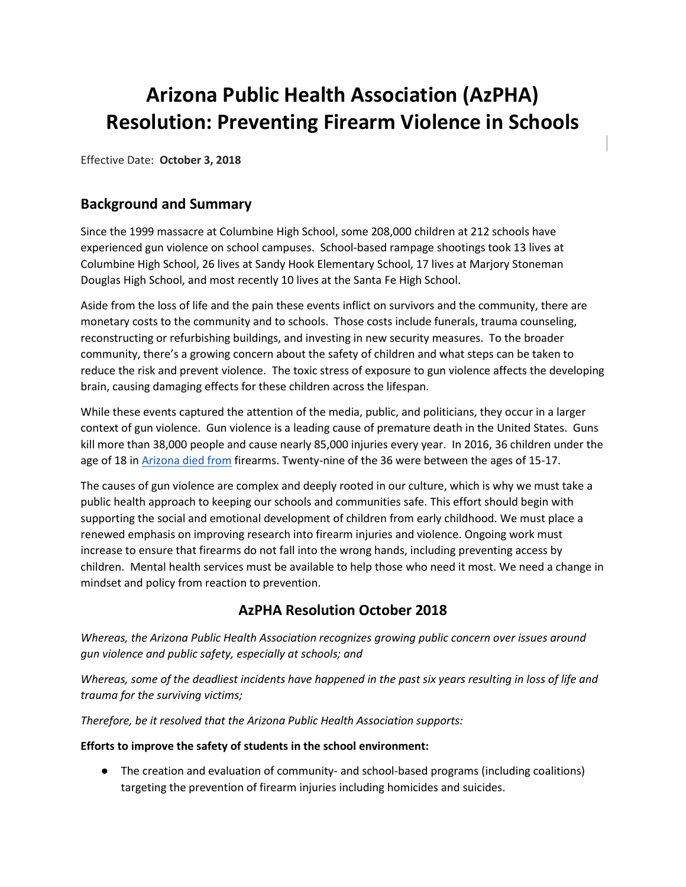# **Arizona Public Health Association (AzPHA) Resolution: Preventing Firearm Violence in Schools**

Effective Date: **October 3, 2018**

## **Background and Summary**

Since the 1999 massacre at Columbine High School, some 208,000 children at 212 schools have experienced gun violence on school campuses. School-based rampage shootings took 13 lives at Columbine High School, 26 lives at Sandy Hook Elementary School, 17 lives at Marjory Stoneman Douglas High School, and most recently 10 lives at the Santa Fe High School.

Aside from the loss of life and the pain these events inflict on survivors and the community, there are monetary costs to the community and to schools. Those costs include funerals, trauma counseling, reconstructing or refurbishing buildings, and investing in new security measures. To the broader community, there's a growing concern about the safety of children and what steps can be taken to reduce the risk and prevent violence. The toxic stress of exposure to gun violence affects the developing brain, causing damaging effects for these children across the lifespan.

While these events captured the attention of the media, public, and politicians, they occur in a larger context of gun violence. Gun violence is a leading cause of premature death in the United States. Guns kill more than 38,000 people and cause nearly 85,000 injuries every year. In 2016, 36 children under the age of 18 i[n Arizona died from](https://www.azdhs.gov/documents/prevention/womens-childrens-health/reports-fact-sheets/child-fatality-review-annual-reports/cfr-annual-report-2017.pdf) firearms. Twenty-nine of the 36 were between the ages of 15-17.

The causes of gun violence are complex and deeply rooted in our culture, which is why we must take a public health approach to keeping our schools and communities safe. This effort should begin with supporting the social and emotional development of children from early childhood. We must place a renewed emphasis on improving research into firearm injuries and violence. Ongoing work must increase to ensure that firearms do not fall into the wrong hands, including preventing access by children. Mental health services must be available to help those who need it most. We need a change in mindset and policy from reaction to prevention.

## **AzPHA Resolution October 2018**

*Whereas, the Arizona Public Health Association recognizes growing public concern over issues around gun violence and public safety, especially at schools; and*

*Whereas, some of the deadliest incidents have happened in the past six years resulting in loss of life and trauma for the surviving victims;* 

*Therefore, be it resolved that the Arizona Public Health Association supports:*

#### **Efforts to improve the safety of students in the school environment:**

● The creation and evaluation of community- and school-based programs (including coalitions) targeting the prevention of firearm injuries including homicides and suicides.